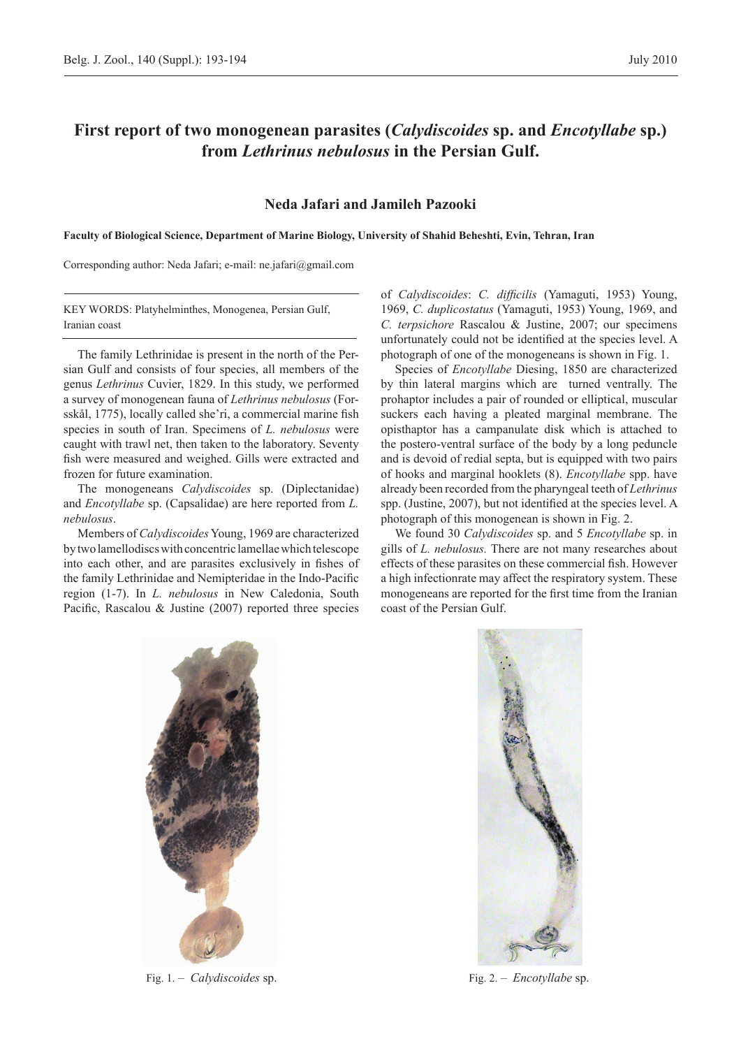## **First report of two monogenean parasites (***Calydiscoides* **sp. and** *Encotyllabe* **sp.) from** *Lethrinus nebulosus* **in the Persian Gulf.**

## **Neda Jafari and Jamileh Pazooki**

**Faculty of Biological Science, Department of Marine Biology, University of Shahid Beheshti, Evin, Tehran, Iran**

Corresponding author: Neda Jafari; e-mail: ne.jafari@gmail.com

KEY WORDS: Platyhelminthes, Monogenea, Persian Gulf, Iranian coast

The family Lethrinidae is present in the north of the Persian Gulf and consists of four species, all members of the genus *Lethrinus* Cuvier, 1829. In this study, we performed a survey of monogenean fauna of *Lethrinus nebulosus* (Forsskål, 1775), locally called she'ri, a commercial marine fish species in south of Iran. Specimens of *L. nebulosus* were caught with trawl net, then taken to the laboratory. Seventy fish were measured and weighed. Gills were extracted and frozen for future examination.

The monogeneans *Calydiscoides* sp. (Diplectanidae) and *Encotyllabe* sp. (Capsalidae) are here reported from *L. nebulosus*.

Members of *Calydiscoides* Young, 1969 are characterized by two lamellodiscs with concentric lamellae which telescope into each other, and are parasites exclusively in fishes of the family Lethrinidae and Nemipteridae in the Indo-Pacific region (1-7). In *L. nebulosus* in New Caledonia, South Pacific, Rascalou & Justine (2007) reported three species

of *Calydiscoides*: *C. difficilis* (Yamaguti, 1953) Young, 1969, *C. duplicostatus* (Yamaguti, 1953) Young, 1969, and *C. terpsichore* Rascalou & Justine, 2007; our specimens unfortunately could not be identified at the species level. A photograph of one of the monogeneans is shown in Fig. 1.

Species of *Encotyllabe* Diesing, 1850 are characterized by thin lateral margins which are turned ventrally. The prohaptor includes a pair of rounded or elliptical, muscular suckers each having a pleated marginal membrane. The opisthaptor has a campanulate disk which is attached to the postero-ventral surface of the body by a long peduncle and is devoid of redial septa, but is equipped with two pairs of hooks and marginal hooklets (8). *Encotyllabe* spp. have already been recorded from the pharyngeal teeth of *Lethrinus* spp. (Justine, 2007), but not identified at the species level. A photograph of this monogenean is shown in Fig. 2.

We found 30 *Calydiscoides* sp. and 5 *Encotyllabe* sp. in gills of *L. nebulosus.* There are not many researches about effects of these parasites on these commercial fish. However a high infectionrate may affect the respiratory system. These monogeneans are reported for the first time from the Iranian coast of the Persian Gulf.



Fig. 1. – *Calydiscoides* sp. Fig. 2. – *Encotyllabe* sp.